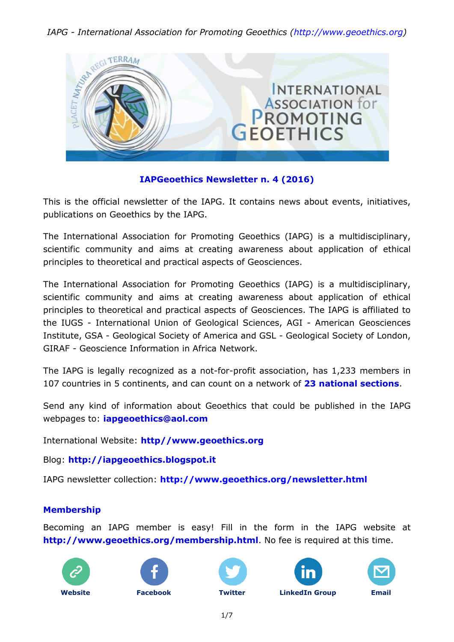

### **IAPGeoethics Newsletter n. 4 (2016)**

This is the official newsletter of the IAPG. It contains news about events, initiatives, publications on Geoethics by the IAPG.

The International Association for Promoting Geoethics (IAPG) is a multidisciplinary, scientific community and aims at creating awareness about application of ethical principles to theoretical and practical aspects of Geosciences.

The International Association for Promoting Geoethics (IAPG) is a multidisciplinary, scientific community and aims at creating awareness about application of ethical principles to theoretical and practical aspects of Geosciences. The IAPG is affiliated to the IUGS - International Union of Geological Sciences, AGI - American Geosciences Institute, GSA - Geological Society of America and GSL - Geological Society of London, GIRAF - Geoscience Information in Africa Network.

The IAPG is legally recognized as a not-for-profit association, has 1,233 members in 107 countries in 5 continents, and can count on a network of **[23 national sections](http://www.geoethics.org/sections.html)**.

Send any kind of information about Geoethics that could be published in the IAPG webpages to: **[iapgeoethics@aol.com](mailto:iapgeoethics@aol.com?subject=IAPG%20newsletter)**

International Website: **[http//www.geoethics.org](http://www.geoethics.org/)**

Blog: **[http://iapgeoethics.blogspot.it](http://iapgeoethics.blogspot.it/)**

IAPG newsletter collection: **<http://www.geoethics.org/newsletter.html>**

### **Membership**

Becoming an IAPG member is easy! Fill in the form in the IAPG website at **<http://www.geoethics.org/membership.html>**. No fee is required at this time.











**[Website](http://www.geoethics.org/) [Facebook](https://www.facebook.com/pages/International-Association-for-Promoting-Geoethics-IAPG/102926009863246) [Twitter](https://twitter.com/IAPGeoethics) [LinkedIn](https://www.linkedin.com/grp/home?gid=4615518) Group [Email](mailto:iapgeoethics@aol.com)**



1/7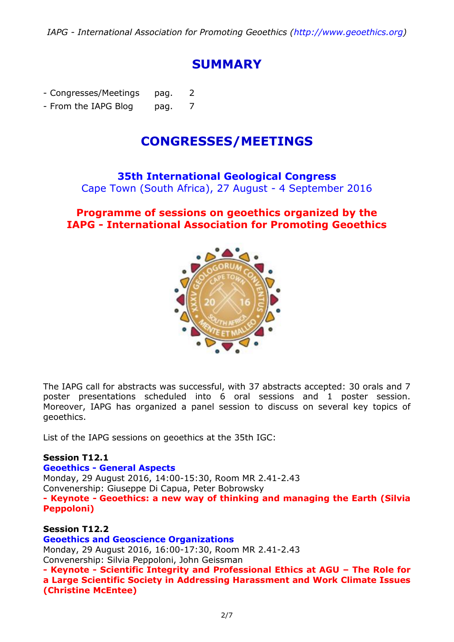# **SUMMARY**

- Congresses/Meetings pag. 2

- From the IAPG Blog pag. 7

# **CONGRESSES/MEETINGS**

**35th International Geological Congress** Cape Town (South Africa), 27 August - 4 September 2016

# **[Programme of sessions on geoethics organized by the](http://www.geoethics.org/35thigc.html) IAPG - [International Association for Promoting Geoethics](http://www.geoethics.org/35thigc.html)**



The IAPG call for abstracts was successful, with 37 abstracts accepted: 30 orals and 7 poster presentations scheduled into 6 oral sessions and 1 poster session. Moreover, IAPG has organized a panel session to discuss on several key topics of geoethics.

List of the IAPG sessions on geoethics at the 35th IGC:

#### **Session T12.1**

#### **Geoethics - [General Aspects](http://www.geoethics.org/35thigc.html)**

Monday, 29 August 2016, 14:00-15:30, Room MR 2.41-2.43 Convenership: Giuseppe Di Capua, Peter Bobrowsky **- Keynote - Geoethics: a new way of thinking and managing the Earth (Silvia Peppoloni)**

#### **Session T12.2**

**[Geoethics and Geoscience Organizations](http://www.geoethics.org/35thigc.html)** Monday, 29 August 2016, 16:00-17:30, Room MR 2.41-2.43 Convenership: Silvia Peppoloni, John Geissman **- Keynote - Scientific Integrity and Professional Ethics at AGU – The Role for a Large Scientific Society in Addressing Harassment and Work Climate Issues (Christine McEntee)**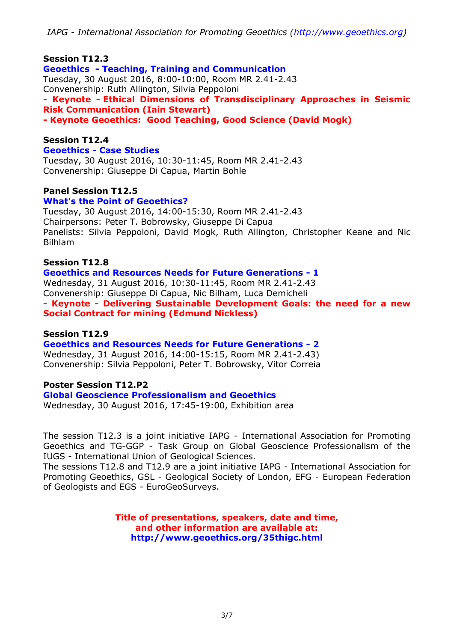#### **Session T12.3**

**Geoethics - [Teaching, Training and Communication](http://www.geoethics.org/35thigc.html)** Tuesday, 30 August 2016, 8:00-10:00, Room MR 2.41-2.43 Convenership: Ruth Allington, Silvia Peppoloni **- Keynote - Ethical Dimensions of Transdisciplinary Approaches in Seismic Risk Communication (Iain Stewart) - Keynote Geoethics: Good Teaching, Good Science (David Mogk)**

#### **Session T12.4**

#### **Geoethics - [Case Studies](http://www.geoethics.org/35thigc.html)**

Tuesday, 30 August 2016, 10:30-11:45, Room MR 2.41-2.43 Convenership: Giuseppe Di Capua, Martin Bohle

#### **Panel Session T12.5**

#### **[What's the Point of Geoethics?](http://www.geoethics.org/35thigc.html)**

Tuesday, 30 August 2016, 14:00-15:30, Room MR 2.41-2.43 Chairpersons: Peter T. Bobrowsky, Giuseppe Di Capua Panelists: Silvia Peppoloni, David Mogk, Ruth Allington, Christopher Keane and Nic Bilhlam

#### **Session T12.8**

**[Geoethics and Resources Needs for Future Generations -](http://www.geoethics.org/35thigc.html) 1** Wednesday, 31 August 2016, 10:30-11:45, Room MR 2.41-2.43 Convenership: Giuseppe Di Capua, Nic Bilham, Luca Demicheli **- Keynote - Delivering Sustainable Development Goals: the need for a new Social Contract for mining (Edmund Nickless)**

#### **Session T12.9**

#### **[Geoethics and Resources Needs for Future Generations -](http://www.geoethics.org/35thigc.html) 2**

Wednesday, 31 August 2016, 14:00-15:15, Room MR 2.41-2.43) Convenership: Silvia Peppoloni, Peter T. Bobrowsky, Vitor Correia

#### **Poster Session T12.P2**

#### **Global Geoscience [Professionalism and Geoethics](http://www.geoethics.org/35thigc.html)**

Wednesday, 30 August 2016, 17:45-19:00, Exhibition area

The session T12.3 is a joint initiative IAPG - International Association for Promoting Geoethics and TG-GGP - Task Group on Global Geoscience Professionalism of the IUGS - International Union of Geological Sciences.

The sessions T12.8 and T12.9 are a joint initiative IAPG - International Association for Promoting Geoethics, GSL - Geological Society of London, EFG - European Federation of Geologists and EGS - EuroGeoSurveys.

> **Title of presentations, speakers, date and time, and other information are available at: <http://www.geoethics.org/35thigc.html>**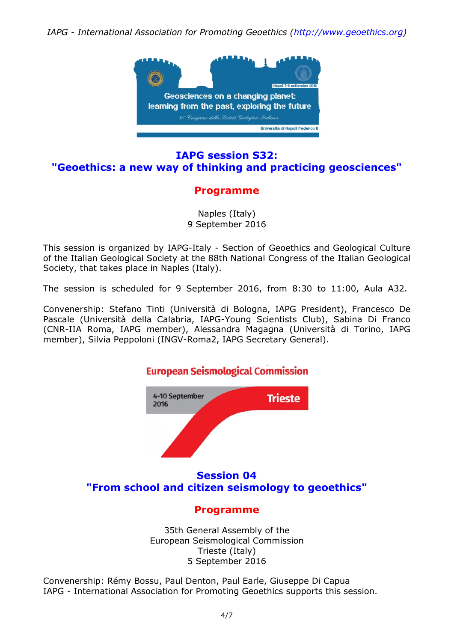

## **[IAPG session S32:](http://www.geoethics.org/geoethics-sgi2016.html) ["Geoethics: a new way of thinking and practicing geosciences"](http://www.geoethics.org/geoethics-sgi2016.html)**

# **[Programme](http://www.geoethics.org/geoethics-sgi2016.html)**

Naples (Italy) 9 September 2016

This session is organized by IAPG-Italy - Section of Geoethics and Geological Culture of the Italian Geological Society at the 88th National Congress of the Italian Geological Society, that takes place in Naples (Italy).

The session is scheduled for 9 September 2016, from 8:30 to 11:00, Aula A32.

Convenership: Stefano Tinti (Università di Bologna, IAPG President), Francesco De Pascale (Università della Calabria, IAPG-Young Scientists Club), Sabina Di Franco (CNR-IIA Roma, IAPG member), Alessandra Magagna (Università di Torino, IAPG member), Silvia Peppoloni (INGV-Roma2, IAPG Secretary General).



35th General Assembly of the European Seismological Commission Trieste (Italy) 5 September 2016

Convenership: Rémy Bossu, Paul Denton, Paul Earle, Giuseppe Di Capua IAPG - International Association for Promoting Geoethics supports this session.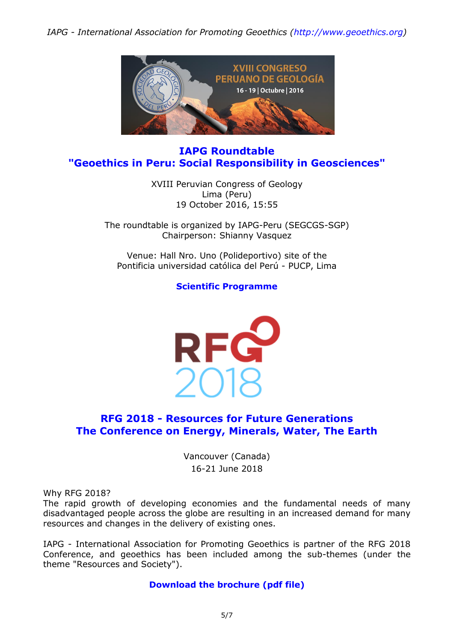

## **IAPG Roundtable "Geoethics in Peru: Social Responsibility in Geosciences"**

XVIII Peruvian Congress of Geology Lima (Peru) 19 October 2016, 15:55

The roundtable is organized by IAPG-Peru (SEGCGS-SGP) Chairperson: Shianny Vasquez

Venue: Hall Nro. Uno (Polideportivo) site of the Pontificia universidad católica del Perú - PUCP, Lima

**[Scientific Programme](http://www.sgp.org.pe/congresoes/programa-cientifico/)**



# **RFG 2018 - [Resources for Future Generations](http://media.wix.com/ugd/5195a5_430222da52d7479ea2a7b53e60c3f314.pdf) [The Conference on Energy, Minerals, Water, The Earth](http://media.wix.com/ugd/5195a5_430222da52d7479ea2a7b53e60c3f314.pdf)**

Vancouver (Canada) 16-21 June 2018

Why RFG 2018?

The rapid growth of developing economies and the fundamental needs of many disadvantaged people across the globe are resulting in an increased demand for many resources and changes in the delivery of existing ones.

IAPG - International Association for Promoting Geoethics is partner of the RFG 2018 Conference, and geoethics has been included among the sub-themes (under the theme "Resources and Society").

### **[Download the brochure \(pdf file\)](http://media.wix.com/ugd/5195a5_430222da52d7479ea2a7b53e60c3f314.pdf)**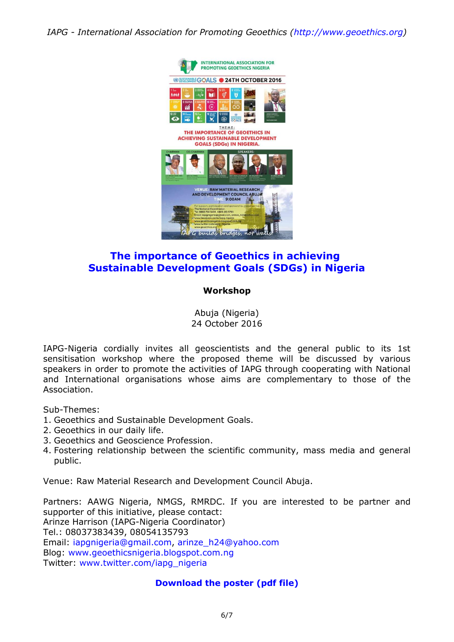

# **[The importance of Geoethics in achieving](http://media.wix.com/ugd/5195a5_b229c03753554e078d69b8b28b6946ab.pdf) [Sustainable Development Goals \(SDGs\) in Nigeria](http://media.wix.com/ugd/5195a5_b229c03753554e078d69b8b28b6946ab.pdf)**

#### **Workshop**

Abuja (Nigeria) 24 October 2016

IAPG-Nigeria cordially invites all geoscientists and the general public to its 1st sensitisation workshop where the proposed theme will be discussed by various speakers in order to promote the activities of IAPG through cooperating with National and International organisations whose aims are complementary to those of the Association.

Sub-Themes:

- 1. Geoethics and Sustainable Development Goals.
- 2. Geoethics in our daily life.
- 3. Geoethics and Geoscience Profession.
- 4. Fostering relationship between the scientific community, mass media and general public.

Venue: Raw Material Research and Development Council Abuja.

Partners: AAWG Nigeria, NMGS, RMRDC. If you are interested to be partner and supporter of this initiative, please contact: Arinze Harrison (IAPG-Nigeria Coordinator) Tel.: 08037383439, 08054135793 Email: [iapgnigeria@gmail.com,](mailto:iapgnigeria@gmail.com?subject=Workshop%20on%20Geoethics%20in%20Nigeria) [arinze\\_h24@yahoo.com](mailto:arinze_h24@yahoo.com?subject=Workshop%20on%20Geoethics%20in%20Nigeria) Blog: [www.geoethicsnigeria.blogspot.com.ng](http://www.geoethicsnigeria.blogspot.com.ng/) Twitter: [www.twitter.com/iapg\\_nigeria](http://www.twitter.com/iapg_nigeria)

#### **[Download the poster \(pdf file\)](http://media.wix.com/ugd/5195a5_b229c03753554e078d69b8b28b6946ab.pdf)**